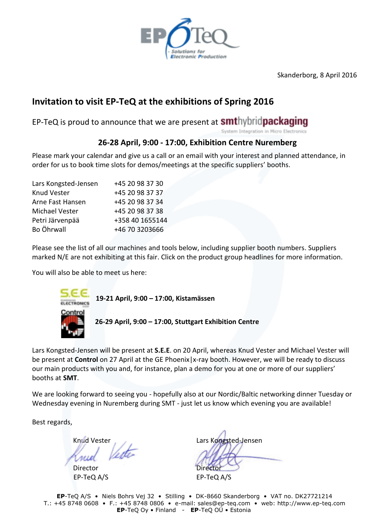

Skanderborg, 8 April 2016

## **Invitation to visit EP-TeQ at the exhibitions of Spring 2016**

EP-TeQ is proud to announce that we are present at **smt**hybridpackaging

System Integration in Micro Electronics

#### **26-28 April, 9:00 - 17:00, Exhibition Centre Nuremberg**

Please mark your calendar and give us a call or an email with your interest and planned attendance, in order for us to book time slots for demos/meetings at the specific suppliers' booths.

| +45 20 98 37 30 |
|-----------------|
| +45 20 98 37 37 |
| +45 20 98 37 34 |
| +45 20 98 37 38 |
| +358 40 1655144 |
| +46 70 3203666  |
|                 |

Please see the list of all our machines and tools below, including supplier booth numbers. Suppliers marked N/E are not exhibiting at this fair. Click on the product group headlines for more information.

You will also be able to meet us here:



 **19-21 April, 9:00 – 17:00, Kistamässen** 

**26-29 April, 9:00 – 17:00, Stuttgart Exhibition Centre**

Lars Kongsted-Jensen will be present at **S.E.E**. on 20 April, whereas Knud Vester and Michael Vester will be present at **Control** on 27 April at the GE Phoenix|x-ray booth. However, we will be ready to discuss our main products with you and, for instance, plan a demo for you at one or more of our suppliers' booths at **SMT**.

We are looking forward to seeing you - hopefully also at our Nordic/Baltic networking dinner Tuesday or Wednesday evening in Nuremberg during SMT - just let us know which evening you are available!

Best regards,

Director EP-TeQ A/S EP-TeQ A/S

Knud Vester<br>Knud Verte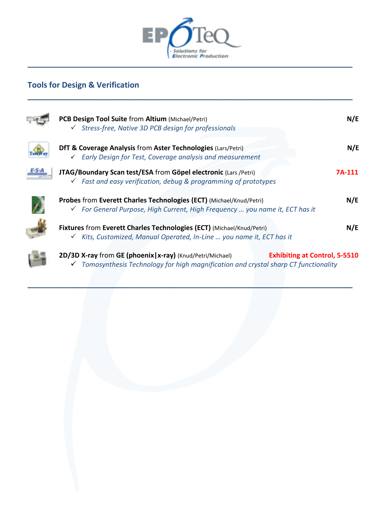

## **Tools for Design & Verification**

m.

| PCB Design Tool Suite from Altium (Michael/Petri)<br>$\checkmark$ Stress-free, Native 3D PCB design for professionals                                        | N/E                                  |
|--------------------------------------------------------------------------------------------------------------------------------------------------------------|--------------------------------------|
| <b>DfT &amp; Coverage Analysis from Aster Technologies (Lars/Petri)</b><br>$\checkmark$ Early Design for Test, Coverage analysis and measurement             | N/E                                  |
| JTAG/Boundary Scan test/ESA from Göpel electronic (Lars /Petri)<br>Fast and easy verification, debug & programming of prototypes<br>$\checkmark$             | 7A-111                               |
| Probes from Everett Charles Technologies (ECT) (Michael/Knud/Petri)<br>√ For General Purpose, High Current, High Frequency  you name it, ECT has it          | N/E                                  |
| Fixtures from Everett Charles Technologies (ECT) (Michael/Knud/Petri)<br>Kits, Customized, Manual Operated, In-Line  you name it, ECT has it<br>$\checkmark$ | N/E                                  |
| 2D/3D X-ray from GE (phoenix   x-ray) (Knud/Petri/Michael)                                                                                                   | <b>Exhibiting at Control, 5-5510</b> |

*Tomosynthesis Technology for high magnification and crystal sharp CT functionality*

**\_\_\_\_\_\_\_\_\_\_\_\_\_\_\_\_\_\_\_\_\_\_\_\_\_\_\_\_\_\_\_\_\_\_\_\_\_\_\_\_\_\_\_\_\_\_\_\_\_\_\_\_\_\_\_\_\_\_\_\_\_\_\_\_\_\_\_\_\_\_\_\_\_\_**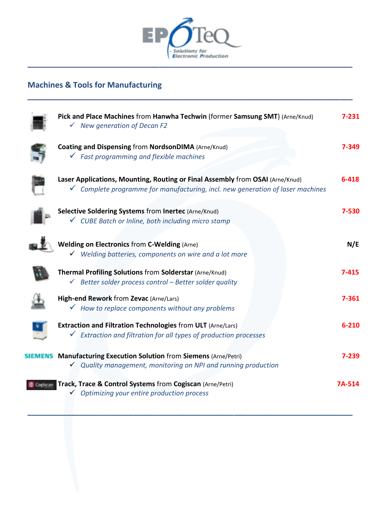

**\_\_\_\_\_\_\_\_\_\_\_\_\_\_\_\_\_\_\_\_\_\_\_\_\_\_\_\_\_\_\_\_\_\_\_\_\_\_\_\_\_\_\_\_\_\_\_\_\_\_\_\_\_\_\_\_\_\_\_\_\_\_\_\_\_\_\_\_\_\_\_\_\_\_**

# **Machines & Tools for Manufacturing**

| Pick and Place Machines from Hanwha Techwin (former Samsung SMT) (Arne/Knud)<br>$\checkmark$ New generation of Decan F2                                                    | $7 - 231$ |
|----------------------------------------------------------------------------------------------------------------------------------------------------------------------------|-----------|
| <b>Coating and Dispensing from NordsonDIMA (Arne/Knud)</b><br>$\checkmark$ Fast programming and flexible machines                                                          | 7-349     |
| Laser Applications, Mounting, Routing or Final Assembly from OSAI (Arne/Knud)<br>$\checkmark$ Complete programme for manufacturing, incl. new generation of laser machines | $6 - 418$ |
| Selective Soldering Systems from Inertec (Arne/Knud)<br>√ CUBE Batch or Inline, both including micro stamp                                                                 | 7-530     |
| <b>Welding on Electronics from C-Welding (Arne)</b><br>$\checkmark$ Welding batteries, components on wire and a lot more                                                   | N/E       |
| Thermal Profiling Solutions from Solderstar (Arne/Knud)<br>$\checkmark$ Better solder process control - Better solder quality                                              | $7 - 415$ |
| High-end Rework from Zevac (Arne/Lars)<br>$\checkmark$ How to replace components without any problems                                                                      | 7-361     |
| <b>Extraction and Filtration Technologies from ULT (Arne/Lars)</b><br>$\checkmark$ Extraction and filtration for all types of production processes                         | $6 - 210$ |
| <b>SIEMENS</b> Manufacturing Execution Solution from Siemens (Arne/Petri)<br>$\checkmark$ Quality management, monitoring on NPI and running production                     | 7-239     |
| Cogiscan Track, Trace & Control Systems from Cogiscan (Arne/Petri)<br>$\checkmark$ Optimizing your entire production process                                               | 7A-514    |
|                                                                                                                                                                            |           |